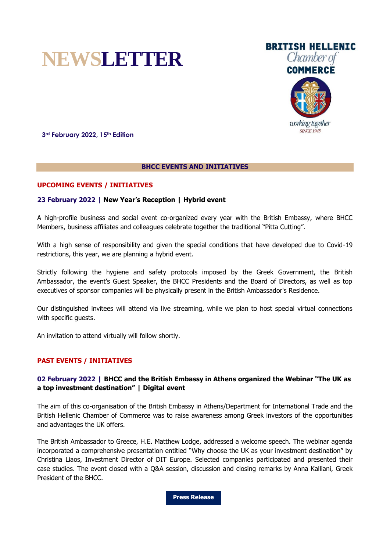





**3rd February 2022, 15th Edition**

### **BHCC EVENTS AND INITIATIVES**

# **UPCOMING EVENTS / INITIATIVES**

### **23 February 2022 | New Year's Reception | Hybrid event**

A high-profile business and social event co-organized every year with the British Embassy, where BHCC Members, business affiliates and colleagues celebrate together the traditional "Pitta Cutting".

With a high sense of responsibility and given the special conditions that have developed due to Covid-19 restrictions, this year, we are planning a hybrid event.

Strictly following the hygiene and safety protocols imposed by the Greek Government, the British Ambassador, the event's Guest Speaker, the BHCC Presidents and the Board of Directors, as well as top executives of sponsor companies will be physically present in the British Ambassador's Residence.

Our distinguished invitees will attend via live streaming, while we plan to host special virtual connections with specific guests.

An invitation to attend virtually will follow shortly.

# **PAST EVENTS / INITIATIVES**

# **02 February 2022 | BHCC and the British Embassy in Athens organized the Webinar "The UK as a top investment destination" | Digital event**

The aim of this co-organisation of the British Embassy in Athens/Department for International Trade and the British Hellenic Chamber of Commerce was to raise awareness among Greek investors of the opportunities and advantages the UK offers.

The British Ambassador to Greece, H.E. Matthew Lodge, addressed a welcome speech. The webinar agenda incorporated a comprehensive presentation entitled "Why choose the UK as your investment destination" by Christina Liaos, Investment Director of DIT Europe. Selected companies participated and presented their case studies. The event closed with a Q&A session, discussion and closing remarks by Anna Kalliani, Greek President of the BHCC.

**[Press Release](https://mcusercontent.com/98e56585fe03b26122e60752c/files/a512f968-7593-9a80-dca1-8260755f332f/BE_BHCC_Digital_Investment_Event_020222_Press_Release.pdf)**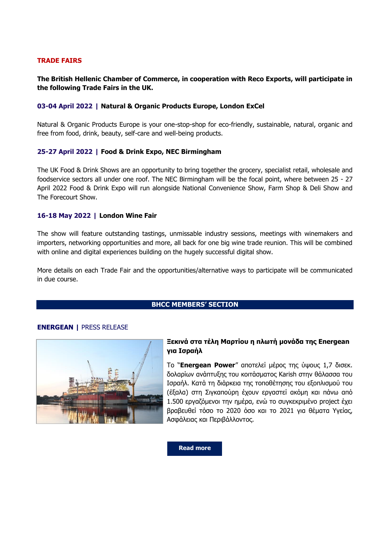### **TRADE FAIRS**

# **The British Hellenic Chamber of Commerce, in cooperation with Reco Exports, will participate in the following Trade Fairs in the UK.**

### **03-04 April 2022 | Natural & Organic Products Europe, London ExCel**

Natural & Organic Products Europe is your one-stop-shop for eco-friendly, sustainable, natural, organic and free from food, drink, beauty, self-care and well-being products.

### **25-27 April 2022 | Food & Drink Expo, NEC Birmingham**

The UK Food & Drink Shows are an opportunity to bring together the grocery, specialist retail, wholesale and foodservice sectors all under one roof. The NEC Birmingham will be the focal point, where between 25 - 27 April 2022 Food & Drink Expo will run alongside National Convenience Show, Farm Shop & Deli Show and The Forecourt Show.

#### **16-18 May 2022 | London Wine Fair**

The show will feature outstanding tastings, unmissable industry sessions, meetings with winemakers and importers, networking opportunities and more, all back for one big wine trade reunion. This will be combined with online and digital experiences building on the hugely successful digital show.

More details on each Trade Fair and the opportunities/alternative ways to participate will be communicated in due course.

# **BHCC MEMBERS' SECTION**

# **ENERGEAN |** PRESS RELEASE



# **Ξεκινά στα τέλη Μαρτίου η πλωτή μονάδα της Energean για Ισραήλ**

Το "**Energean Power**" αποτελεί μέρος της ύψους 1,7 δισεκ. δολαρίων ανάπτυξης του κοιτάσματος Karish στην θάλασσα του Ισραήλ. Κατά τη διάρκεια της τοποθέτησης του εξοπλισμού του (έξαλα) στη Σιγκαπούρη έχουν εργαστεί ακόμη και πάνω από 1.500 εργαζόμενοι την ημέρα, ενώ το συγκεκριμένο project έχει βραβευθεί τόσο το 2020 όσο και το 2021 για θέματα Υγείας, Ασφάλειας και Περιβάλλοντος.

**[Read more](https://www.energean.com/media/5126/20220126-%CE%B5%CE%BD%CE%B7%CE%BC%CE%B5%CF%81%CF%89%CF%84%CE%B9%CE%BA%CF%8C-%CF%83%CE%B7%CE%BC%CE%B5%CE%AF%CF%89%CE%BC%CE%B1-energean-power-fpso.pdf)**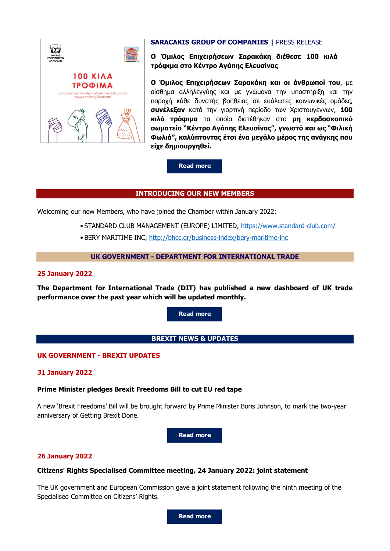

# **SARACAKIS GROUP OF COMPANIES |** PRESS RELEASE

**Ο Όμιλος Επιχειρήσεων Σαρακάκη διέθεσε 100 κιλά τρόφιμα στο Κέντρο Αγάπης Ελευσίνας**

**Ο Όμιλος Επιχειρήσεων Σαρακάκη και οι άνθρωποί του**, με αίσθημα αλληλεγγύης και με γνώμονα την υποστήριξη και την παροχή κάθε δυνατής βοήθειας σε ευάλωτες κοινωνικές ομάδες, **συνέλεξαν** κατά την γιορτινή περίοδο των Χριστουγέννων, **100 κιλά τρόφιμα** τα οποία διατέθηκαν στο **μη κερδοσκοπικό σωματείο "Κέντρο Αγάπης Ελευσίνας", γνωστό και ως "Φιλική Φωλιά", καλύπτοντας έτσι ένα μεγάλο μέρος της ανάγκης που είχε δημιουργηθεί.**

### **[Read more](https://mcusercontent.com/98e56585fe03b26122e60752c/files/026316c9-16a4-9e00-2d18-7f93f69d8fd1/Ο_Όμιλος_Επιχειρήσεων_Σαρακάκη_διέθεσε_100_κιλά_τρόφιμα_στο_Κέντρο_Αγάπης_Ελευσίνας.pdf)**

### **INTRODUCING OUR NEW MEMBERS**

Welcoming our new Members, who have joined the Chamber within January 2022:

- STANDARD CLUB MANAGEMENT (EUROPE) LIMITED,<https://www.standard-club.com/>
- BERY MARITIME INC, http://bhcc.qr/business-index/bery-maritime-inc

#### **UK GOVERNMENT - DEPARTMENT FOR INTERNATIONAL TRADE**

#### **25 January 2022**

**The Department for International Trade (DIT) has published a new dashboard of UK trade performance over the past year which will be updated monthly.**

**[Read more](https://www.gov.uk/government/statistics/uk-trade-in-numbers/uk-trade-in-numbers-web-version)**

# **BREXIT NEWS & UPDATES**

### **UK GOVERNMENT - BREXIT UPDATES**

#### **31 January 2022**

### **Prime Minister pledges Brexit Freedoms Bill to cut EU red tape**

A new 'Brexit Freedoms' Bill will be brought forward by Prime Minister Boris Johnson, to mark the two-year anniversary of Getting Brexit Done.

**[Read more](https://www.gov.uk/government/news/prime-minister-pledges-brexit-freedoms-bill-to-cut-eu-red-tape)**

#### **26 January 2022**

### **Citizens' Rights Specialised Committee meeting, 24 January 2022: joint statement**

The UK government and European Commission gave a joint statement following the ninth meeting of the Specialised Committee on Citizens' Rights.

**[Read more](https://www.gov.uk/government/news/citizens-rights-specialised-committee-meeting-24-january-2022-joint-statement)**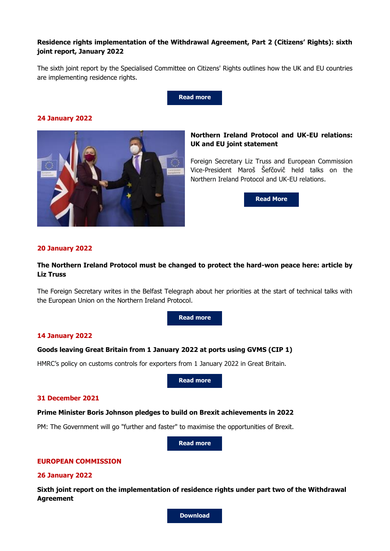# **Residence rights implementation of the Withdrawal Agreement, Part 2 (Citizens' Rights): sixth joint report, January 2022**

The sixth joint report by the Specialised Committee on Citizens' Rights outlines how the UK and EU countries are implementing residence rights.



# **24 January 2022**



# **Northern Ireland Protocol and UK-EU relations: UK and EU joint statement**

Foreign Secretary Liz Truss and European Commission Vice-President Maroš Šefčovič held talks on the Northern Ireland Protocol and UK-EU relations.

**[Read](https://www.gov.uk/government/news/northern-ireland-protocol-and-uk-eu-relations-uk-and-eu-joint-statement-24-january) More**

# **20 January 2022**

# **The Northern Ireland Protocol must be changed to protect the hard-won peace here: article by Liz Truss**

The Foreign Secretary writes in the Belfast Telegraph about her priorities at the start of technical talks with the European Union on the Northern Ireland Protocol.

**[Read more](https://www.gov.uk/government/speeches/the-northern-ireland-protocol-must-be-changed-to-protect-the-hard-won-peace-here-article-by-liz-truss)**

#### **14 January 2022**

# **Goods leaving Great Britain from 1 January 2022 at ports using GVMS (CIP 1)**

HMRC's policy on customs controls for exporters from 1 January 2022 in Great Britain.

**[Read more](https://www.gov.uk/government/publications/goods-leaving-great-britain-from-1-january-2022-at-ports-using-gvms-cip-1)**

### **31 December 2021**

#### **Prime Minister Boris Johnson pledges to build on Brexit achievements in 2022**

PM: The Government will go "further and faster" to maximise the opportunities of Brexit.

**[Read more](https://www.gov.uk/government/news/prime-minister-pledges-to-build-on-brexit-achievements-in-2022)**

# **EUROPEAN COMMISSION**

#### **26 January 2022**

**Sixth joint report on the implementation of residence rights under part two of the Withdrawal Agreement**

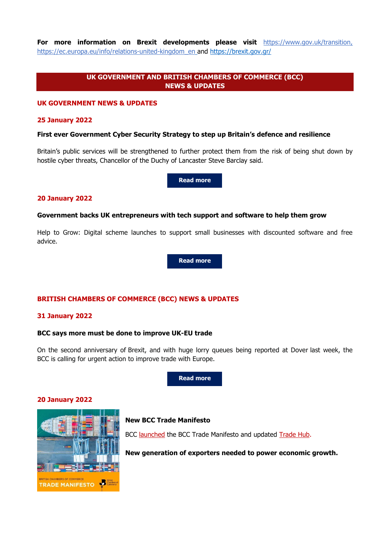**For more information on Brexit developments please visit** [https://www.gov.uk/transition,](https://www.gov.uk/transition) [https://ec.europa.eu/info/relations-united-kingdom\\_en](https://ec.europa.eu/info/relations-united-kingdom_en) and <https://brexit.gov.gr/>

# **UK GOVERNMENT AND BRITISH CHAMBERS OF COMMERCE (BCC) NEWS & UPDATES**

#### **UK GOVERNMENT NEWS & UPDATES**

#### **25 January 2022**

# **First ever Government Cyber Security Strategy to step up Britain's defence and resilience**

Britain's public services will be strengthened to further protect them from the risk of being shut down by hostile cyber threats, Chancellor of the Duchy of Lancaster Steve Barclay said.

**Read [more](https://www.gov.uk/government/news/first-ever-government-cyber-security-strategy-to-step-up-britains-defence-and-resilience--2)**

#### **20 January 2022**

#### **Government backs UK entrepreneurs with tech support and software to help them grow**

Help to Grow: Digital scheme launches to support small businesses with discounted software and free advice.

**[Read more](https://www.gov.uk/government/news/government-backs-uk-entrepreneurs-with-tech-support-and-software-to-help-them-grow)**

# **BRITISH CHAMBERS OF COMMERCE (BCC) NEWS & UPDATES**

#### **31 January 2022**

### **BCC says more must be done to improve UK-EU trade**

On the second anniversary of Brexit, and with huge lorry queues being reported at Dover last week, the BCC is calling for urgent action to improve trade with Europe.

**[Read more](https://www.britishchambers.org.uk/news/2022/01/bcc-says-more-must-be-done-to-improve-uk-eu-trade)**

### **20 January 2022**



# **New BCC Trade Manifesto**

BCC [launched](https://response.gv-c.com/Mail/Click/224?a=7822B60F85429BF44A1E1DB3911B2F7E&r=AC7C62C1E14A5A7A695B46D5A280995C&v=) the BCC Trade Manifesto and updated [Trade Hub.](https://response.gv-c.com/Mail/Click/224?a=E4E665DE9DDD1F368CEE40C35D276194&r=AC7C62C1E14A5A7A695B46D5A280995C&v=)

**New generation of exporters needed to power economic growth.**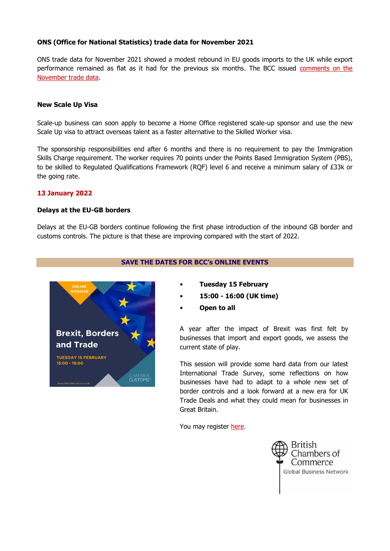# **ONS (Office for National Statistics) trade data for November 2021**

ONS trade data for November 2021 showed a modest rebound in EU goods imports to the UK while export performance remained as flat as it had for the previous six months. The BCC issued [comments on the](https://response.gv-c.com/Mail/Click/224?a=AC381B480612D48D23BB8755A5A4EC0A&r=AC7C62C1E14A5A7A695B46D5A280995C&v=)  [November trade data.](https://response.gv-c.com/Mail/Click/224?a=AC381B480612D48D23BB8755A5A4EC0A&r=AC7C62C1E14A5A7A695B46D5A280995C&v=)

### **New Scale Up Visa**

Scale-up business can soon apply to become a Home Office registered scale-up sponsor and use the new Scale Up visa to attract overseas talent as a faster alternative to the Skilled Worker visa.

The sponsorship responsibilities end after 6 months and there is no requirement to pay the Immigration Skills Charge requirement. The worker requires 70 points under the Points Based Immigration System (PBS), to be skilled to Regulated Qualifications Framework (RQF) level 6 and receive a minimum salary of £33k or the going rate.

# **13 January 2022**

### **Delays at the EU-GB borders**

Delays at the EU-GB borders continue following the first phase introduction of the inbound GB border and customs controls. The picture is that these are improving compared with the start of 2022.





- **Tuesday 15 February**
- **15:00 - 16:00 (UK time)**
- **Open to all**

A year after the impact of Brexit was first felt by businesses that import and export goods, we assess the current state of play.

This session will provide some hard data from our latest International Trade Survey, some reflections on how businesses have had to adapt to a whole new set of border controls and a look forward at a new era for UK Trade Deals and what they could mean for businesses in Great Britain.

You may register [here.](https://response.gv-c.com/Mail/Click/224?a=E89098CF36ADDA916660DDCA0C595FF9&r=AC7C62C1E14A5A7A695B46D5A280995C&v=)